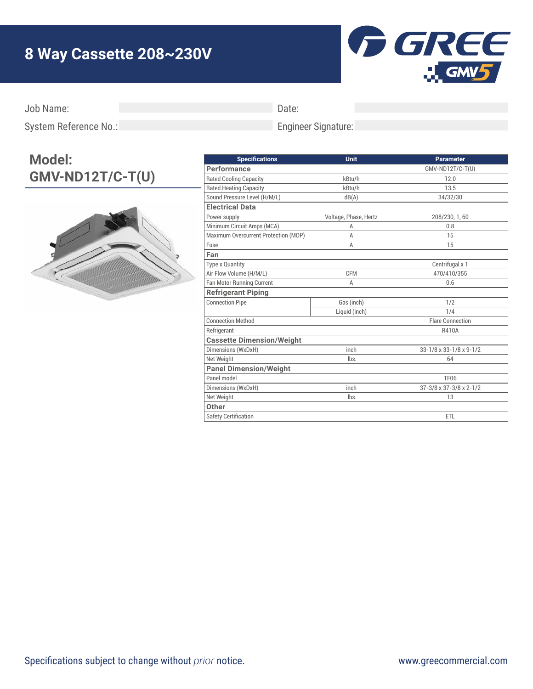## **8 Way Cassette 208~230V**



Job Name:

Date:

Engineer Signature:

System Reference No.:

## **Model: GMV-ND12T/C-T(U)**



| <b>Specifications</b>                | Unit                  | <b>Parameter</b>        |
|--------------------------------------|-----------------------|-------------------------|
| Performance                          |                       | GMV-ND12T/C-T(U)        |
| <b>Rated Cooling Capacity</b>        | kBtu/h                | 12.0                    |
| <b>Rated Heating Capacity</b>        | kBtu/h                | 13.5                    |
| Sound Pressure Level (H/M/L)         | dB(A)                 | 34/32/30                |
| <b>Electrical Data</b>               |                       |                         |
| Power supply                         | Voltage, Phase, Hertz | 208/230, 1, 60          |
| Minimum Circuit Amps (MCA)           | A                     | 0.8                     |
| Maximum Overcurrent Protection (MOP) | A                     | 15                      |
| Fuse                                 | A                     | 15                      |
| Fan                                  |                       |                         |
| <b>Type x Quantity</b>               |                       | Centrifugal x 1         |
| Air Flow Volume (H/M/L)              | <b>CFM</b>            | 470/410/355             |
| Fan Motor Running Current            | A                     | 0.6                     |
| <b>Refrigerant Piping</b>            |                       |                         |
| <b>Connection Pipe</b>               | Gas (inch)            | 1/2                     |
|                                      | Liquid (inch)         | 1/4                     |
| <b>Connection Method</b>             |                       | <b>Flare Connection</b> |
| Refrigerant                          |                       | <b>R410A</b>            |
| <b>Cassette Dimension/Weight</b>     |                       |                         |
| Dimensions (WxDxH)                   | inch                  | 33-1/8 x 33-1/8 x 9-1/2 |
| Net Weight                           | lbs.                  | 64                      |
| <b>Panel Dimension/Weight</b>        |                       |                         |
| Panel model                          |                       | <b>TF06</b>             |
| Dimensions (WxDxH)                   | inch                  | 37-3/8 x 37-3/8 x 2-1/2 |
| Net Weight                           | lbs.                  | 13                      |
| Other                                |                       |                         |
| <b>Safety Certification</b>          |                       | <b>ETL</b>              |